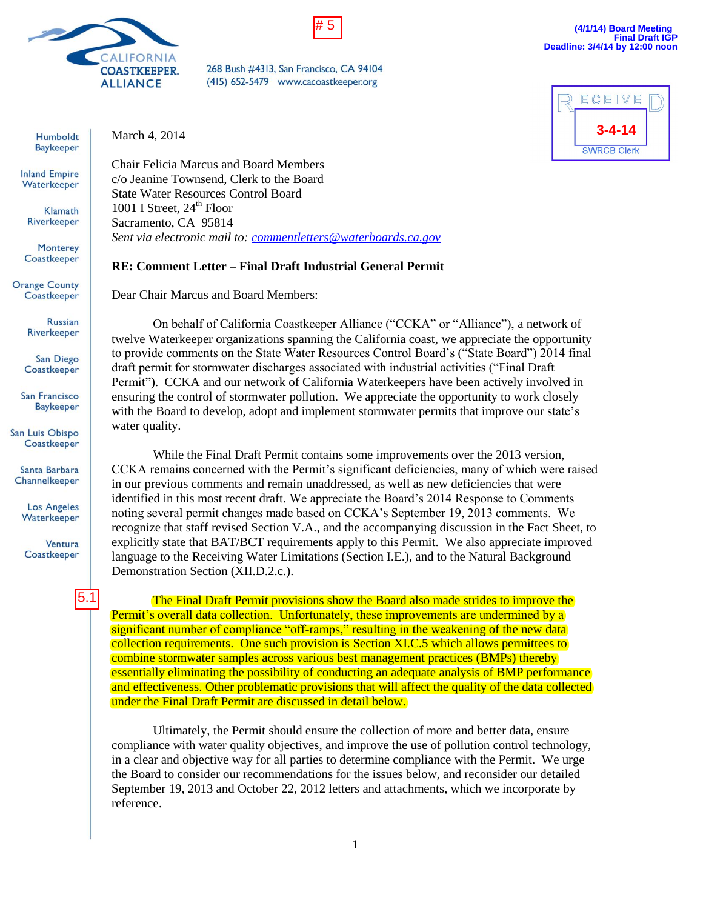



268 Bush #4313, San Francisco, CA 94104 (415) 652-5479 www.cacoastkeeper.org

Humboldt **Baykeeper** 

**Inland Empire** Waterkeeper

> Klamath Riverkeeper

Monterey Coastkeeper

**Russian** Riverkeeper

San Diego Coastkeeper

San Francisco **Baykeeper** 

San Luis Obispo Coastkeeper

Santa Barbara Channelkeeper

> **Los Angeles** Waterkeeper

Ventura Coastkeeper

**Orange County** Coastkeeper

5.1

March 4, 2014

Chair Felicia Marcus and Board Members c/o Jeanine Townsend, Clerk to the Board State Water Resources Control Board 1001 I Street,  $24<sup>th</sup>$  Floor Sacramento, CA 95814 *Sent via electronic mail to: [commentletters@waterboards.ca.gov](mailto:commentletters@waterboards.ca.gov)*

## **RE: Comment Letter – Final Draft Industrial General Permit**

Dear Chair Marcus and Board Members:

On behalf of California Coastkeeper Alliance ("CCKA" or "Alliance"), a network of twelve Waterkeeper organizations spanning the California coast, we appreciate the opportunity to provide comments on the State Water Resources Control Board's ("State Board") 2014 final draft permit for stormwater discharges associated with industrial activities ("Final Draft Permit"). CCKA and our network of California Waterkeepers have been actively involved in ensuring the control of stormwater pollution. We appreciate the opportunity to work closely with the Board to develop, adopt and implement stormwater permits that improve our state's water quality.

While the Final Draft Permit contains some improvements over the 2013 version, CCKA remains concerned with the Permit's significant deficiencies, many of which were raised in our previous comments and remain unaddressed, as well as new deficiencies that were identified in this most recent draft. We appreciate the Board's 2014 Response to Comments noting several permit changes made based on CCKA's September 19, 2013 comments. We recognize that staff revised Section V.A., and the accompanying discussion in the Fact Sheet, to explicitly state that BAT/BCT requirements apply to this Permit. We also appreciate improved language to the Receiving Water Limitations (Section I.E.), and to the Natural Background Demonstration Section (XII.D.2.c.).

The Final Draft Permit provisions show the Board also made strides to improve the Permit's overall data collection. Unfortunately, these improvements are undermined by a significant number of compliance "off-ramps," resulting in the weakening of the new data collection requirements. One such provision is Section XI.C.5 which allows permittees to combine stormwater samples across various best management practices (BMPs) thereby essentially eliminating the possibility of conducting an adequate analysis of BMP performance and effectiveness. Other problematic provisions that will affect the quality of the data collected under the Final Draft Permit are discussed in detail below.

Ultimately, the Permit should ensure the collection of more and better data, ensure compliance with water quality objectives, and improve the use of pollution control technology, in a clear and objective way for all parties to determine compliance with the Permit. We urge the Board to consider our recommendations for the issues below, and reconsider our detailed September 19, 2013 and October 22, 2012 letters and attachments, which we incorporate by reference.

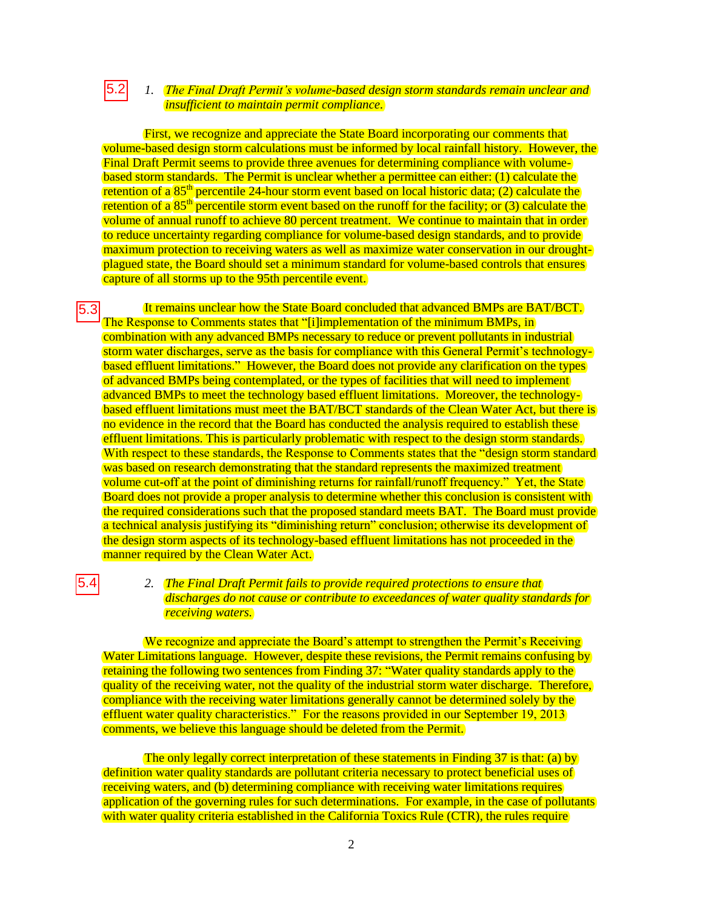#### *1. The Final Draft Permit's volume-based design storm standards remain unclear and insufficient to maintain permit compliance.*   $|5.2|$

First, we recognize and appreciate the State Board incorporating our comments that volume-based design storm calculations must be informed by local rainfall history. However, the Final Draft Permit seems to provide three avenues for determining compliance with volumebased storm standards. The Permit is unclear whether a permittee can either: (1) calculate the retention of a  $85<sup>th</sup>$  percentile 24-hour storm event based on local historic data; (2) calculate the retention of a  $85<sup>th</sup>$  percentile storm event based on the runoff for the facility; or (3) calculate the volume of annual runoff to achieve 80 percent treatment. We continue to maintain that in order to reduce uncertainty regarding compliance for volume-based design standards, and to provide maximum protection to receiving waters as well as maximize water conservation in our droughtplagued state, the Board should set a minimum standard for volume-based controls that ensures capture of all storms up to the 95th percentile event.

It remains unclear how the State Board concluded that advanced BMPs are BAT/BCT. The Response to Comments states that "[i]implementation of the minimum BMPs, in combination with any advanced BMPs necessary to reduce or prevent pollutants in industrial storm water discharges, serve as the basis for compliance with this General Permit's technologybased effluent limitations." However, the Board does not provide any clarification on the types of advanced BMPs being contemplated, or the types of facilities that will need to implement advanced BMPs to meet the technology based effluent limitations. Moreover, the technologybased effluent limitations must meet the BAT/BCT standards of the Clean Water Act, but there is no evidence in the record that the Board has conducted the analysis required to establish these effluent limitations. This is particularly problematic with respect to the design storm standards. With respect to these standards, the Response to Comments states that the "design storm standard" was based on research demonstrating that the standard represents the maximized treatment volume cut-off at the point of diminishing returns for rainfall/runoff frequency." Yet, the State Board does not provide a proper analysis to determine whether this conclusion is consistent with the required considerations such that the proposed standard meets BAT. The Board must provide a technical analysis justifying its "diminishing return" conclusion; otherwise its development of the design storm aspects of its technology-based effluent limitations has not proceeded in the manner required by the Clean Water Act. 5.3

#### *2. The Final Draft Permit fails to provide required protections to ensure that discharges do not cause or contribute to exceedances of water quality standards for receiving waters.*

We recognize and appreciate the Board's attempt to strengthen the Permit's Receiving Water Limitations language. However, despite these revisions, the Permit remains confusing by retaining the following two sentences from Finding 37: "Water quality standards apply to the quality of the receiving water, not the quality of the industrial storm water discharge. Therefore, compliance with the receiving water limitations generally cannot be determined solely by the effluent water quality characteristics." For the reasons provided in our September 19, 2013 comments, we believe this language should be deleted from the Permit.

5.4

The only legally correct interpretation of these statements in Finding 37 is that: (a) by definition water quality standards are pollutant criteria necessary to protect beneficial uses of receiving waters, and (b) determining compliance with receiving water limitations requires application of the governing rules for such determinations. For example, in the case of pollutants with water quality criteria established in the California Toxics Rule (CTR), the rules require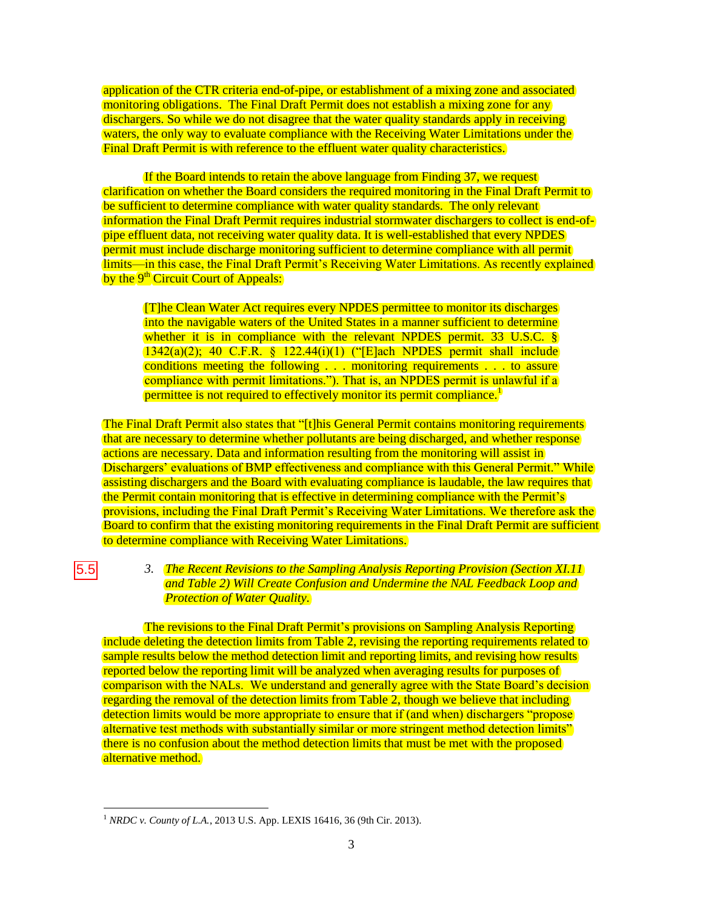application of the CTR criteria end-of-pipe, or establishment of a mixing zone and associated monitoring obligations. The Final Draft Permit does not establish a mixing zone for any dischargers. So while we do not disagree that the water quality standards apply in receiving waters, the only way to evaluate compliance with the Receiving Water Limitations under the Final Draft Permit is with reference to the effluent water quality characteristics.

If the Board intends to retain the above language from Finding 37, we request clarification on whether the Board considers the required monitoring in the Final Draft Permit to be sufficient to determine compliance with water quality standards. The only relevant information the Final Draft Permit requires industrial stormwater dischargers to collect is end-ofpipe effluent data, not receiving water quality data. It is well-established that every NPDES permit must include discharge monitoring sufficient to determine compliance with all permit limits—in this case, the Final Draft Permit's Receiving Water Limitations. As recently explained by the 9<sup>th</sup> Circuit Court of Appeals:

[T]he Clean Water Act requires every NPDES permittee to monitor its discharges into the navigable waters of the United States in a manner sufficient to determine whether it is in compliance with the relevant NPDES permit. 33 U.S.C. § 1342(a)(2); 40 C.F.R. § 122.44(i)(1) ("[E]ach NPDES permit shall include conditions meeting the following . . . monitoring requirements . . . to assure compliance with permit limitations."). That is, an NPDES permit is unlawful if a permittee is not required to effectively monitor its permit compliance.<sup>1</sup>

The Final Draft Permit also states that "[t]his General Permit contains monitoring requirements that are necessary to determine whether pollutants are being discharged, and whether response actions are necessary. Data and information resulting from the monitoring will assist in Dischargers' evaluations of BMP effectiveness and compliance with this General Permit." While assisting dischargers and the Board with evaluating compliance is laudable, the law requires that the Permit contain monitoring that is effective in determining compliance with the Permit's provisions, including the Final Draft Permit's Receiving Water Limitations. We therefore ask the Board to confirm that the existing monitoring requirements in the Final Draft Permit are sufficient to determine compliance with Receiving Water Limitations.

 $5.5$ 

### *3. The Recent Revisions to the Sampling Analysis Reporting Provision (Section XI.11 and Table 2) Will Create Confusion and Undermine the NAL Feedback Loop and Protection of Water Quality.*

The revisions to the Final Draft Permit's provisions on Sampling Analysis Reporting include deleting the detection limits from Table 2, revising the reporting requirements related to sample results below the method detection limit and reporting limits, and revising how results reported below the reporting limit will be analyzed when averaging results for purposes of comparison with the NALs. We understand and generally agree with the State Board's decision regarding the removal of the detection limits from Table 2, though we believe that including detection limits would be more appropriate to ensure that if (and when) dischargers "propose alternative test methods with substantially similar or more stringent method detection limits" there is no confusion about the method detection limits that must be met with the proposed alternative method.

 $\overline{a}$ <sup>1</sup> *NRDC v. County of L.A.*, 2013 U.S. App. LEXIS 16416, 36 (9th Cir. 2013).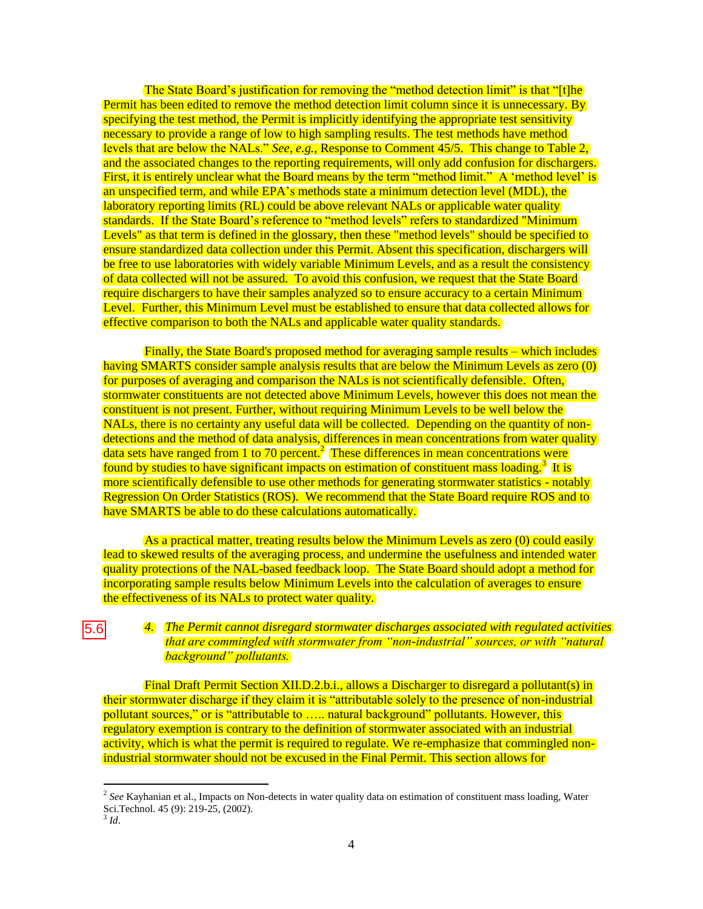The State Board's justification for removing the "method detection limit" is that "[t]he Permit has been edited to remove the method detection limit column since it is unnecessary. By specifying the test method, the Permit is implicitly identifying the appropriate test sensitivity necessary to provide a range of low to high sampling results. The test methods have method levels that are below the NALs." *See, e.g.,* Response to Comment 45/5. This change to Table 2, and the associated changes to the reporting requirements, will only add confusion for dischargers. First, it is entirely unclear what the Board means by the term "method limit." A 'method level' is an unspecified term, and while EPA's methods state a minimum detection level (MDL), the laboratory reporting limits (RL) could be above relevant NALs or applicable water quality standards. If the State Board's reference to "method levels" refers to standardized "Minimum Levels" as that term is defined in the glossary, then these "method levels" should be specified to ensure standardized data collection under this Permit. Absent this specification, dischargers will be free to use laboratories with widely variable Minimum Levels, and as a result the consistency of data collected will not be assured. To avoid this confusion, we request that the State Board require dischargers to have their samples analyzed so to ensure accuracy to a certain Minimum Level. Further, this Minimum Level must be established to ensure that data collected allows for effective comparison to both the NALs and applicable water quality standards.

Finally, the State Board's proposed method for averaging sample results – which includes having SMARTS consider sample analysis results that are below the Minimum Levels as zero (0) for purposes of averaging and comparison the NALs is not scientifically defensible. Often, stormwater constituents are not detected above Minimum Levels, however this does not mean the constituent is not present. Further, without requiring Minimum Levels to be well below the NALs, there is no certainty any useful data will be collected. Depending on the quantity of nondetections and the method of data analysis, differences in mean concentrations from water quality data sets have ranged from 1 to 70 percent.<sup>2</sup> These differences in mean concentrations were found by studies to have significant impacts on estimation of constituent mass loading.<sup>3</sup> It is more scientifically defensible to use other methods for generating stormwater statistics - notably Regression On Order Statistics (ROS). We recommend that the State Board require ROS and to have SMARTS be able to do these calculations automatically.

As a practical matter, treating results below the Minimum Levels as zero (0) could easily lead to skewed results of the averaging process, and undermine the usefulness and intended water quality protections of the NAL-based feedback loop. The State Board should adopt a method for incorporating sample results below Minimum Levels into the calculation of averages to ensure the effectiveness of its NALs to protect water quality.

### *4. The Permit cannot disregard stormwater discharges associated with regulated activities that are commingled with stormwater from "non-industrial" sources, or with "natural background" pollutants.*

Final Draft Permit Section XII.D.2.b.i., allows a Discharger to disregard a pollutant(s) in their stormwater discharge if they claim it is "attributable solely to the presence of non-industrial pollutant sources," or is "attributable to ….. natural background" pollutants. However, this regulatory exemption is contrary to the definition of stormwater associated with an industrial activity, which is what the permit is required to regulate. We re-emphasize that commingled nonindustrial stormwater should not be excused in the Final Permit. This section allows for

 $\overline{a}$ 

5.6

<sup>2</sup> *See* Kayhanian et al., Impacts on Non-detects in water quality data on estimation of constituent mass loading, Water Sci.Technol. 45 (9): 219-25, (2002).

<sup>3</sup> *Id*.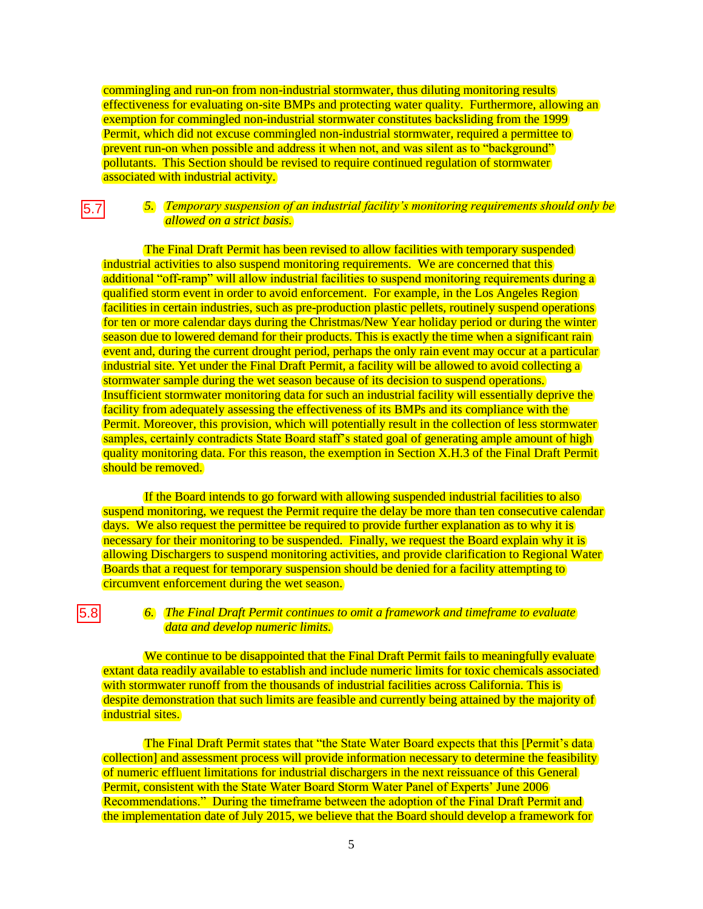commingling and run-on from non-industrial stormwater, thus diluting monitoring results effectiveness for evaluating on-site BMPs and protecting water quality. Furthermore, allowing an exemption for commingled non-industrial stormwater constitutes backsliding from the 1999 Permit, which did not excuse commingled non-industrial stormwater, required a permittee to prevent run-on when possible and address it when not, and was silent as to "background" pollutants. This Section should be revised to require continued regulation of stormwater associated with industrial activity.

#### *5. Temporary suspension of an industrial facility's monitoring requirements should only be allowed on a strict basis.*   $|5.7|$

The Final Draft Permit has been revised to allow facilities with temporary suspended industrial activities to also suspend monitoring requirements. We are concerned that this additional "off-ramp" will allow industrial facilities to suspend monitoring requirements during a qualified storm event in order to avoid enforcement. For example, in the Los Angeles Region facilities in certain industries, such as pre-production plastic pellets, routinely suspend operations for ten or more calendar days during the Christmas/New Year holiday period or during the winter season due to lowered demand for their products. This is exactly the time when a significant rain event and, during the current drought period, perhaps the only rain event may occur at a particular industrial site. Yet under the Final Draft Permit, a facility will be allowed to avoid collecting a stormwater sample during the wet season because of its decision to suspend operations. Insufficient stormwater monitoring data for such an industrial facility will essentially deprive the facility from adequately assessing the effectiveness of its BMPs and its compliance with the Permit. Moreover, this provision, which will potentially result in the collection of less stormwater samples, certainly contradicts State Board staff's stated goal of generating ample amount of high quality monitoring data. For this reason, the exemption in Section X.H.3 of the Final Draft Permit should be removed.

If the Board intends to go forward with allowing suspended industrial facilities to also suspend monitoring, we request the Permit require the delay be more than ten consecutive calendar days. We also request the permittee be required to provide further explanation as to why it is necessary for their monitoring to be suspended. Finally, we request the Board explain why it is allowing Dischargers to suspend monitoring activities, and provide clarification to Regional Water Boards that a request for temporary suspension should be denied for a facility attempting to circumvent enforcement during the wet season.

# 5.8

#### *6. The Final Draft Permit continues to omit a framework and timeframe to evaluate data and develop numeric limits.*

We continue to be disappointed that the Final Draft Permit fails to meaningfully evaluate extant data readily available to establish and include numeric limits for toxic chemicals associated with stormwater runoff from the thousands of industrial facilities across California. This is despite demonstration that such limits are feasible and currently being attained by the majority of industrial sites.

The Final Draft Permit states that "the State Water Board expects that this [Permit's data collection] and assessment process will provide information necessary to determine the feasibility of numeric effluent limitations for industrial dischargers in the next reissuance of this General Permit, consistent with the State Water Board Storm Water Panel of Experts' June 2006 Recommendations." During the timeframe between the adoption of the Final Draft Permit and the implementation date of July 2015, we believe that the Board should develop a framework for